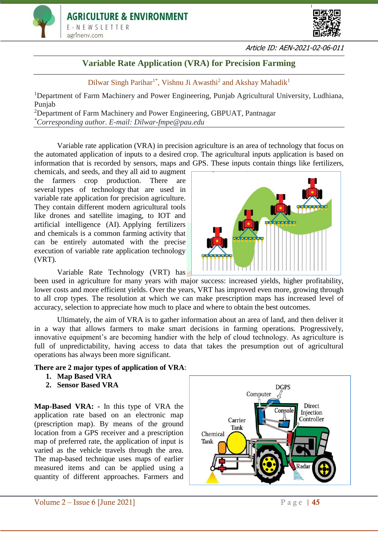



## **Variable Rate Application (VRA) for Precision Farming**

Dilwar Singh Parihar<sup>1\*</sup>, Vishnu Ji Awasthi<sup>2</sup> and Akshay Mahadik<sup>1</sup>

<sup>1</sup>Department of Farm Machinery and Power Engineering, Punjab Agricultural University, Ludhiana, Punjab

<sup>2</sup>Department of Farm Machinery and Power Engineering, GBPUAT, Pantnagar *\*Corresponding author. E-mail: Dilwar-fmpe@pau.edu*

Variable rate application (VRA) in precision agriculture is an area of technology that focus on the automated application of inputs to a desired crop. The agricultural inputs application is based on information that is recorded by sensors, maps and GPS. These inputs contain things like fertilizers,

chemicals, and seeds, and they all aid to augment the farmers crop production. There are several [types of technology](https://pubs.ext.vt.edu/content/dam/pubs_ext_vt_edu/442/442-505/442-505_PDF.pdf) that are used in variable rate application for precision agriculture. They contain different modern agricultural tools like drones and satellite imaging, to IOT and artificial intelligence (AI). Applying fertilizers and chemicals is a common farming activity that can be entirely automated with the precise execution of variable rate application technology (VRT).

Variable Rate Technology (VRT) has

been used in agriculture for many years with major success: increased yields, higher profitability, lower costs and more efficient yields. Over the years, VRT has improved even more, growing through to all crop types. The resolution at which we can make prescription maps has increased level of accuracy, selection to appreciate how much to place and where to obtain the best outcomes.

Ultimately, the aim of VRA is to gather information about an area of land, and then deliver it in a way that allows farmers to make smart decisions in farming operations. Progressively, innovative equipment's are becoming handier with the help of cloud technology. As agriculture is full of unpredictability, having access to data that takes the presumption out of agricultural operations has always been more significant.

#### **There are 2 major types of application of VRA**:

- **1. Map Based VRA**
- **2. Sensor Based VRA**

**Map-Based VRA: -** In this type of VRA the application rate based on an electronic map (prescription map). By means of the ground location from a GPS receiver and a prescription map of preferred rate, the application of input is varied as the vehicle travels through the area. The map-based technique uses maps of earlier measured items and can be applied using a quantity of different approaches. Farmers and



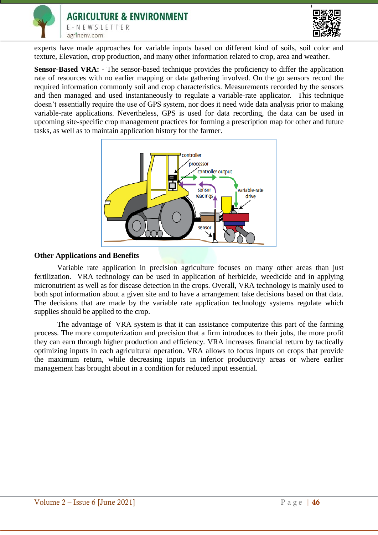



experts have made approaches for variable inputs based on different kind of soils, soil color and texture, Elevation, crop production, and many other information related to crop, area and weather.

**Sensor-Based VRA: -** The sensor-based technique provides the proficiency to differ the application rate of resources with no earlier mapping or data gathering involved. On the go sensors record the required information commonly soil and crop characteristics. Measurements recorded by the sensors and then managed and used instantaneously to regulate a variable-rate applicator. This technique doesn't essentially require the use of GPS system, nor does it need wide data analysis prior to making variable-rate applications. Nevertheless, GPS is used for data recording, the data can be used in upcoming site-specific crop management practices for forming a prescription map for other and future tasks, as well as to maintain application history for the farmer.



#### **Other Applications and Benefits**

Variable rate application in precision agriculture focuses on many other areas than just fertilization. VRA technology can be used in application of herbicide, weedicide and in applying micronutrient as well as for disease detection in the crops. Overall, VRA technology is mainly used to both spot information about a given site and to have a arrangement take decisions based on that data. The decisions that are made by the variable rate application technology systems regulate which supplies should be applied to the crop.

The advantage of [VRA system](https://gamaya.com/) is that it can assistance computerize this part of the farming process. The more computerization and precision that a firm introduces to their jobs, the more profit they can earn through higher production and efficiency. VRA increases financial return by tactically optimizing inputs in each agricultural operation. VRA allows to focus inputs on crops that provide the maximum return, while decreasing inputs in inferior productivity areas or where earlier management has brought about in a condition for reduced input essential.